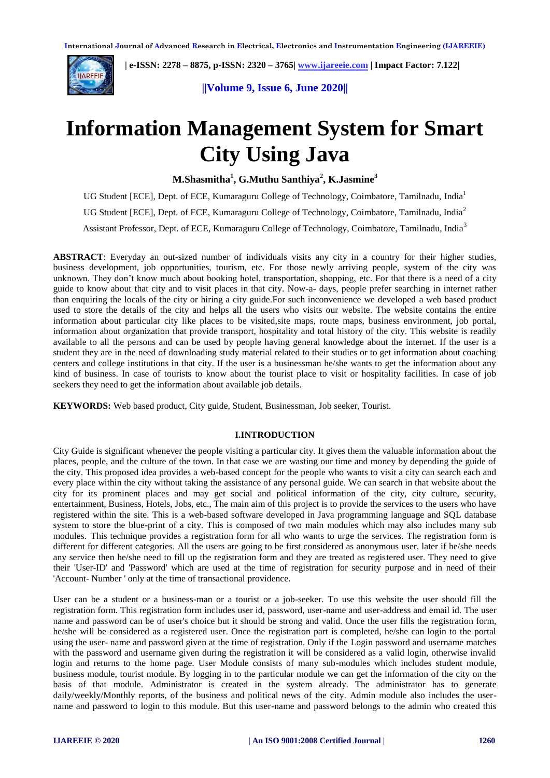

 **| e-ISSN: 2278 – 8875, p-ISSN: 2320 – 3765[| www.ijareeie.com](http://www.ijareeie.com/) | Impact Factor: 7.122|** 

**||Volume 9, Issue 6, June 2020||** 

# **Information Management System for Smart City Using Java**

**M.Shasmitha<sup>1</sup> , G.Muthu Santhiya<sup>2</sup> , K.Jasmine<sup>3</sup>**

UG Student [ECE], Dept. of ECE, Kumaraguru College of Technology, Coimbatore, Tamilnadu, India<sup>1</sup> UG Student [ECE], Dept. of ECE, Kumaraguru College of Technology, Coimbatore, Tamilnadu, India<sup>2</sup> Assistant Professor, Dept. of ECE, Kumaraguru College of Technology, Coimbatore, Tamilnadu, India<sup>3</sup>

**ABSTRACT**: Everyday an out-sized number of individuals visits any city in a country for their higher studies, business development, job opportunities, tourism, etc. For those newly arriving people, system of the city was unknown. They don't know much about booking hotel, transportation, shopping, etc. For that there is a need of a city guide to know about that city and to visit places in that city. Now-a- days, people prefer searching in internet rather than enquiring the locals of the city or hiring a city guide.For such inconvenience we developed a web based product used to store the details of the city and helps all the users who visits our website. The website contains the entire information about particular city like places to be visited,site maps, route maps, business environment, job portal, information about organization that provide transport, hospitality and total history of the city. This website is readily available to all the persons and can be used by people having general knowledge about the internet. If the user is a student they are in the need of downloading study material related to their studies or to get information about coaching centers and college institutions in that city. If the user is a businessman he/she wants to get the information about any kind of business. In case of tourists to know about the tourist place to visit or hospitality facilities. In case of job seekers they need to get the information about available job details.

**KEYWORDS:** Web based product, City guide, Student, Businessman, Job seeker, Tourist.

### **I.INTRODUCTION**

City Guide is significant whenever the people visiting a particular city. It gives them the valuable information about the places, people, and the culture of the town. In that case we are wasting our time and money by depending the guide of the city. This proposed idea provides a web-based concept for the people who wants to visit a city can search each and every place within the city without taking the assistance of any personal guide. We can search in that website about the city for its prominent places and may get social and political information of the city, city culture, security, entertainment, Business, Hotels, Jobs, etc., The main aim of this project is to provide the services to the users who have registered within the site. This is a web-based software developed in Java programming language and SQL database system to store the blue-print of a city. This is composed of two main modules which may also includes many sub modules. This technique provides a registration form for all who wants to urge the services. The registration form is different for different categories. All the users are going to be first considered as anonymous user, later if he/she needs any service then he/she need to fill up the registration form and they are treated as registered user. They need to give their 'User-ID' and 'Password' which are used at the time of registration for security purpose and in need of their 'Account- Number ' only at the time of transactional providence.

User can be a student or a business-man or a tourist or a job-seeker. To use this website the user should fill the registration form. This registration form includes user id, password, user-name and user-address and email id. The user name and password can be of user's choice but it should be strong and valid. Once the user fills the registration form, he/she will be considered as a registered user. Once the registration part is completed, he/she can login to the portal using the user- name and password given at the time of registration. Only if the Login password and username matches with the password and username given during the registration it will be considered as a valid login, otherwise invalid login and returns to the home page. User Module consists of many sub-modules which includes student module, business module, tourist module. By logging in to the particular module we can get the information of the city on the basis of that module. Administrator is created in the system already. The administrator has to generate daily/weekly/Monthly reports, of the business and political news of the city. Admin module also includes the username and password to login to this module. But this user-name and password belongs to the admin who created this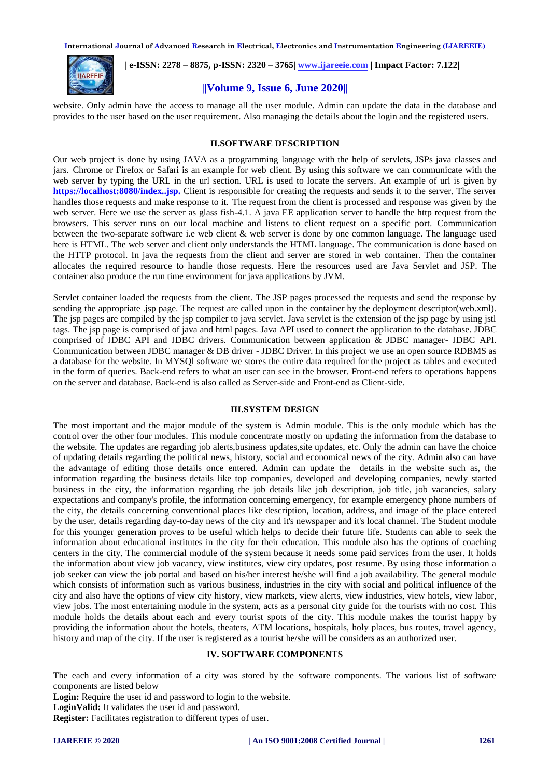

 **| e-ISSN: 2278 – 8875, p-ISSN: 2320 – 3765[| www.ijareeie.com](http://www.ijareeie.com/) | Impact Factor: 7.122|** 

# **||Volume 9, Issue 6, June 2020||**

website. Only admin have the access to manage all the user module. Admin can update the data in the database and provides to the user based on the user requirement. Also managing the details about the login and the registered users.

#### **II.SOFTWARE DESCRIPTION**

Our web project is done by using JAVA as a programming language with the help of servlets, JSPs java classes and jars. Chrome or Firefox or Safari is an example for web client. By using this software we can communicate with the web server by typing the URL in the url section. URL is used to locate the servers. An example of url is given by **<https://localhost:8080/index..jsp.>** Client is responsible for creating the requests and sends it to the server. The server handles those requests and make response to it. The request from the client is processed and response was given by the web server. Here we use the server as glass fish-4.1. A java EE application server to handle the http request from the browsers. This server runs on our local machine and listens to client request on a specific port. Communication between the two-separate software i.e web client & web server is done by one common language. The language used here is HTML. The web server and client only understands the HTML language. The communication is done based on the HTTP protocol. In java the requests from the client and server are stored in web container. Then the container allocates the required resource to handle those requests. Here the resources used are Java Servlet and JSP. The container also produce the run time environment for java applications by JVM.

Servlet container loaded the requests from the client. The JSP pages processed the requests and send the response by sending the appropriate .jsp page. The request are called upon in the container by the deployment descriptor(web.xml). The jsp pages are compiled by the jsp compiler to java servlet. Java servlet is the extension of the jsp page by using jstl tags. The jsp page is comprised of java and html pages. Java API used to connect the application to the database. JDBC comprised of JDBC API and JDBC drivers. Communication between application & JDBC manager- JDBC API. Communication between JDBC manager & DB driver - JDBC Driver. In this project we use an open source RDBMS as a database for the website. In MYSQl software we stores the entire data required for the project as tables and executed in the form of queries. Back-end refers to what an user can see in the browser. Front-end refers to operations happens on the server and database. Back-end is also called as Server-side and Front-end as Client-side.

### **III.SYSTEM DESIGN**

The most important and the major module of the system is Admin module. This is the only module which has the control over the other four modules. This module concentrate mostly on updating the information from the database to the website. The updates are regarding job alerts,business updates,site updates, etc. Only the admin can have the choice of updating details regarding the political news, history, social and economical news of the city. Admin also can have the advantage of editing those details once entered. Admin can update the details in the website such as, the information regarding the business details like top companies, developed and developing companies, newly started business in the city, the information regarding the job details like job description, job title, job vacancies, salary expectations and company's profile, the information concerning emergency, for example emergency phone numbers of the city, the details concerning conventional places like description, location, address, and image of the place entered by the user, details regarding day-to-day news of the city and it's newspaper and it's local channel. The Student module for this younger generation proves to be useful which helps to decide their future life. Students can able to seek the information about educational institutes in the city for their education. This module also has the options of coaching centers in the city. The commercial module of the system because it needs some paid services from the user. It holds the information about view job vacancy, view institutes, view city updates, post resume. By using those information a job seeker can view the job portal and based on his/her interest he/she will find a job availability. The general module which consists of information such as various business, industries in the city with social and political influence of the city and also have the options of view city history, view markets, view alerts, view industries, view hotels, view labor, view jobs. The most entertaining module in the system, acts as a personal city guide for the tourists with no cost. This module holds the details about each and every tourist spots of the city. This module makes the tourist happy by providing the information about the hotels, theaters, ATM locations, hospitals, holy places, bus routes, travel agency, history and map of the city. If the user is registered as a tourist he/she will be considers as an authorized user.

### **IV. SOFTWARE COMPONENTS**

The each and every information of a city was stored by the software components. The various list of software components are listed below

**Login:** Require the user id and password to login to the website.

**LoginValid:** It validates the user id and password.

**Register:** Facilitates registration to different types of user.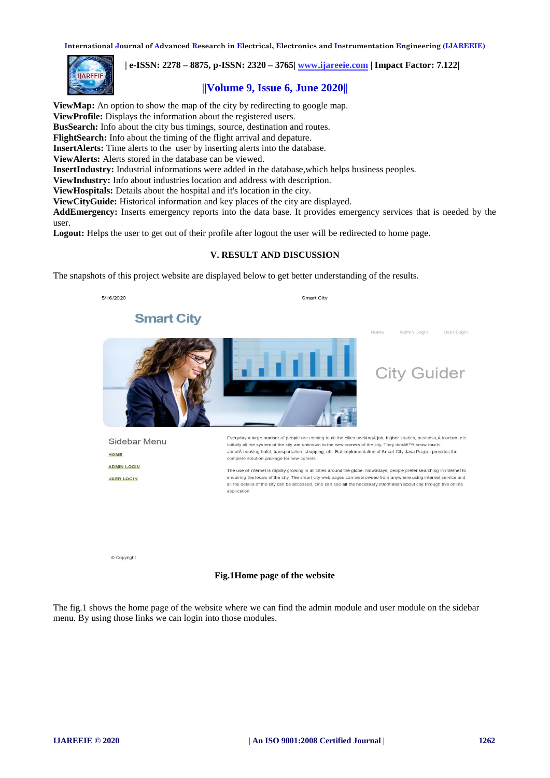

 **| e-ISSN: 2278 – 8875, p-ISSN: 2320 – 3765[| www.ijareeie.com](http://www.ijareeie.com/) | Impact Factor: 7.122|** 

# **||Volume 9, Issue 6, June 2020||**

**ViewMap:** An option to show the map of the city by redirecting to google map. **ViewProfile:** Displays the information about the registered users. **BusSearch:** Info about the city bus timings, source, destination and routes. **FlightSearch:** Info about the timing of the flight arrival and depature. **InsertAlerts:** Time alerts to the user by inserting alerts into the database. **ViewAlerts:** Alerts stored in the database can be viewed. **InsertIndustry:** Industrial informations were added in the database,which helps business peoples. **ViewIndustry:** Info about industries location and address with description. **ViewHospitals:** Details about the hospital and it's location in the city. **ViewCityGuide:** Historical information and key places of the city are displayed.

**AddEmergency:** Inserts emergency reports into the data base. It provides emergency services that is needed by the user.

**Logout:** Helps the user to get out of their profile after logout the user will be redirected to home page.

# **V. RESULT AND DISCUSSION**

The snapshots of this project website are displayed below to get better understanding of the results.



© Copyright

#### **Fig.1Home page of the website**

The fig.1 shows the home page of the website where we can find the admin module and user module on the sidebar menu. By using those links we can login into those modules.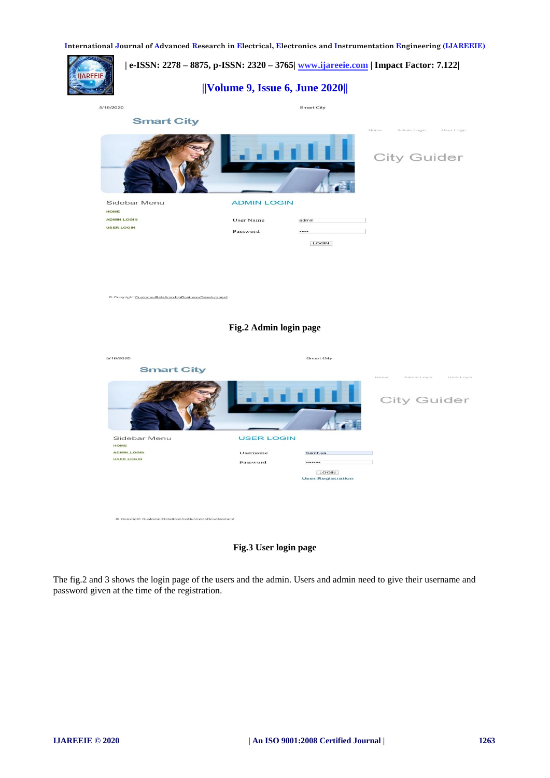

**Fig.3 User login page**

The fig.2 and 3 shows the login page of the users and the admin. Users and admin need to give their username and password given at the time of the registration.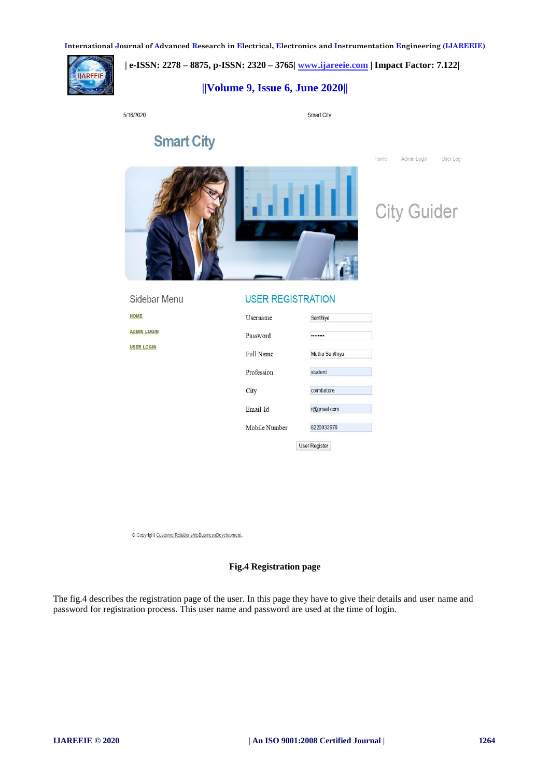

# **| e-ISSN: 2278 – 8875, p-ISSN: 2320 – 3765[| www.ijareeie.com](http://www.ijareeie.com/) | Impact Factor: 7.122|**

# **||Volume 9, Issue 6, June 2020||**

5/16/2020

Sidebar Menu

HOME **ADMIN LOGIN USER LOGIN** 

Smart City

Home

Admin Login

**City Guider** 

User Logi

# **Smart City**



# **USER REGISTRATION**

| Username      | Santhiya             |
|---------------|----------------------|
| Password      |                      |
| Full Name     | Muthu Santhiya       |
| Profession    | student              |
| City          | coimbatore           |
| Email-Id      | r@gmail.com          |
| Mobile Number | 8220033976           |
|               | <b>User Register</b> |

© Copyright CustomerRelationshipBusinessDevelopment.

## **Fig.4 Registration page**

The fig.4 describes the registration page of the user. In this page they have to give their details and user name and password for registration process. This user name and password are used at the time of login.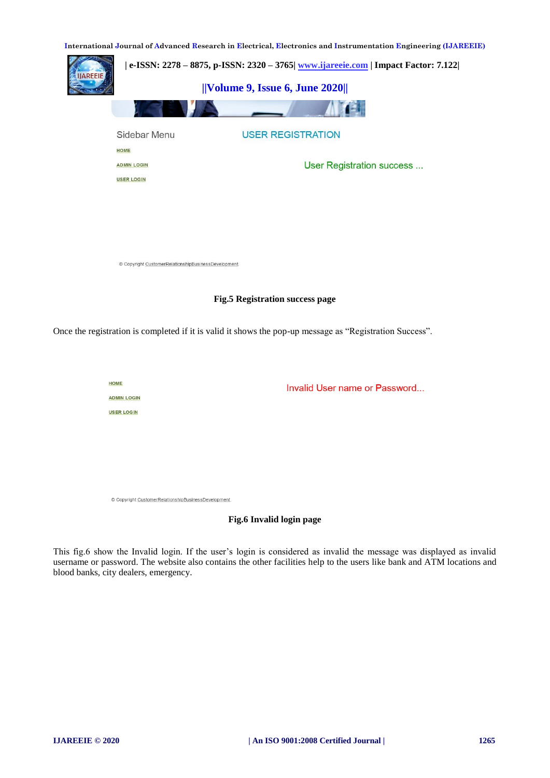

Once the registration is completed if it is valid it shows the pop-up message as "Registration Success".

HOME **ADMIN LOGIN USER LOGIN** 

Invalid User name or Password...

@ Copyright CustomerRelationshipBusinessDevelopment

# **Fig.6 Invalid login page**

This fig.6 show the Invalid login. If the user's login is considered as invalid the message was displayed as invalid username or password. The website also contains the other facilities help to the users like bank and ATM locations and blood banks, city dealers, emergency.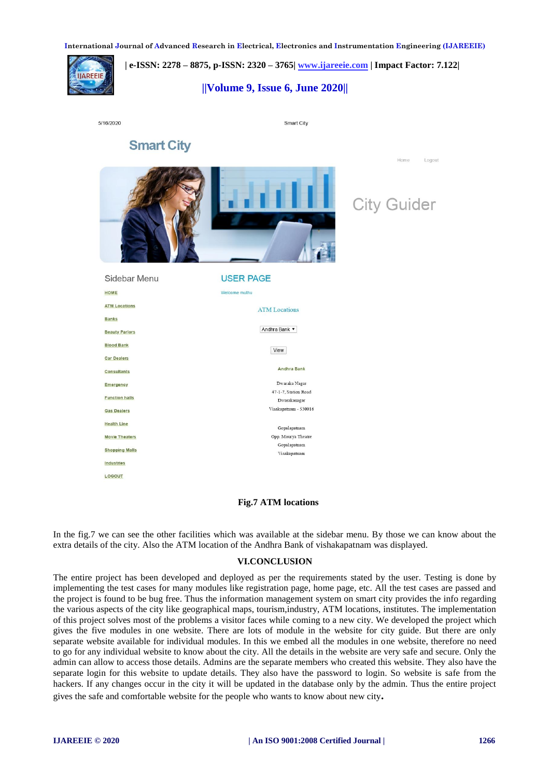**| e-ISSN: 2278 – 8875, p-ISSN: 2320 – 3765[| www.ijareeie.com](http://www.ijareeie.com/) | Impact Factor: 7.122|** 

# **||Volume 9, Issue 6, June 2020||**

|  | 5/16/2020 |
|--|-----------|

**AREEIE** 

Smart City

# **Smart City**





**Home** 

Logout

| Sidebar Menu          | <b>USER PAGE</b>                     |  |
|-----------------------|--------------------------------------|--|
| <b>HOME</b>           | Welcome muthu                        |  |
| <b>ATM Locations</b>  | <b>ATM Locations</b>                 |  |
| <b>Banks</b>          |                                      |  |
| <b>Beauty Parlors</b> | Andhra Bank ▼                        |  |
| <b>Blood Bank</b>     | View                                 |  |
| <b>Car Dealers</b>    |                                      |  |
| <b>Consultants</b>    | <b>Andhra Bank</b>                   |  |
| <b>Emergency</b>      | Dwaraka Nagar                        |  |
| <b>Function halls</b> | 47-1-7. Station Road<br>Dwarakanagar |  |
| <b>Gas Dealers</b>    | Visakapatnam - 530016                |  |
| <b>Health Line</b>    | Gopalapatnam                         |  |
| <b>Movie Theaters</b> | Opp. Mourya Theatre                  |  |
| <b>Shopping Malls</b> | Gopalapatnam                         |  |
| <b>Industries</b>     | Visakapatnam                         |  |
| LOGOUT                |                                      |  |

# **Fig.7 ATM locations**

In the fig.7 we can see the other facilities which was available at the sidebar menu. By those we can know about the extra details of the city. Also the ATM location of the Andhra Bank of vishakapatnam was displayed.

### **VI.CONCLUSION**

The entire project has been developed and deployed as per the requirements stated by the user. Testing is done by implementing the test cases for many modules like registration page, home page, etc. All the test cases are passed and the project is found to be bug free. Thus the information management system on smart city provides the info regarding the various aspects of the city like geographical maps, tourism,industry, ATM locations, institutes. The implementation of this project solves most of the problems a visitor faces while coming to a new city. We developed the project which gives the five modules in one website. There are lots of module in the website for city guide. But there are only separate website available for individual modules. In this we embed all the modules in one website, therefore no need to go for any individual website to know about the city. All the details in the website are very safe and secure. Only the admin can allow to access those details. Admins are the separate members who created this website. They also have the separate login for this website to update details. They also have the password to login. So website is safe from the hackers. If any changes occur in the city it will be updated in the database only by the admin. Thus the entire project gives the safe and comfortable website for the people who wants to know about new city**.**